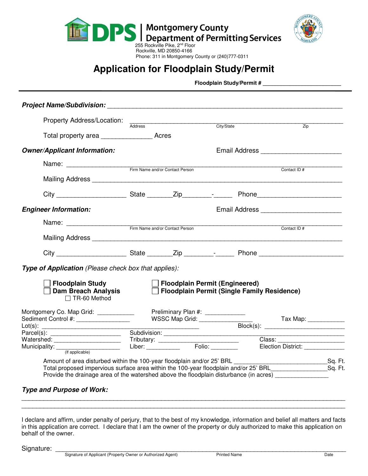



# **Application for Floodplain Study/Permit**

**Floodplain Study/Permit # \_\_\_\_\_\_\_\_\_\_\_\_\_\_\_\_\_\_\_\_\_\_\_\_\_\_** 

| <i>Project Name/Subdivision:</i> Name of the state of the state of the state of the state of the state of the state of the state of the state of the state of the state of the state of the state of the state of the state of the                                                                     |                                                                       |                                 |  |                                       |                                                    |                                      |  |
|--------------------------------------------------------------------------------------------------------------------------------------------------------------------------------------------------------------------------------------------------------------------------------------------------------|-----------------------------------------------------------------------|---------------------------------|--|---------------------------------------|----------------------------------------------------|--------------------------------------|--|
| Property Address/Location:                                                                                                                                                                                                                                                                             |                                                                       | Address                         |  | City/State                            |                                                    | $\overline{Zip}$                     |  |
| Total property area                                                                                                                                                                                                                                                                                    |                                                                       |                                 |  |                                       |                                                    |                                      |  |
| <b>Owner/Applicant Information:</b>                                                                                                                                                                                                                                                                    |                                                                       |                                 |  |                                       |                                                    |                                      |  |
|                                                                                                                                                                                                                                                                                                        |                                                                       | Firm Name and/or Contact Person |  |                                       |                                                    |                                      |  |
|                                                                                                                                                                                                                                                                                                        |                                                                       |                                 |  |                                       |                                                    | Contact ID#                          |  |
|                                                                                                                                                                                                                                                                                                        |                                                                       |                                 |  |                                       |                                                    |                                      |  |
| <b>Engineer Information:</b>                                                                                                                                                                                                                                                                           | Email Address _________________________                               |                                 |  |                                       |                                                    |                                      |  |
| Name: Firm Name and/or Contact Person                                                                                                                                                                                                                                                                  |                                                                       |                                 |  |                                       |                                                    | Contact ID#                          |  |
| Mailing Address <b>Automatical Contract Contract Contract Contract Contract Contract Contract Contract Contract Contract Contract Contract Contract Contract Contract Contract Contract Contract Contract Contract Contract Cont</b>                                                                   |                                                                       |                                 |  |                                       |                                                    |                                      |  |
|                                                                                                                                                                                                                                                                                                        |                                                                       |                                 |  |                                       |                                                    |                                      |  |
| Type of Application (Please check box that applies):                                                                                                                                                                                                                                                   |                                                                       |                                 |  |                                       |                                                    |                                      |  |
| Floodplain Study<br><b>Dam Breach Analysis</b><br>$\Box$ TR-60 Method                                                                                                                                                                                                                                  |                                                                       |                                 |  | <b>Floodplain Permit (Engineered)</b> | <b>Floodplain Permit (Single Family Residence)</b> |                                      |  |
| Montgomery Co. Map Grid: ____________<br>Sediment Control #: __________________                                                                                                                                                                                                                        | Preliminary Plan #: ______________<br>WSSC Map Grid: ________________ |                                 |  |                                       |                                                    | Tax Map: ____________                |  |
|                                                                                                                                                                                                                                                                                                        |                                                                       |                                 |  |                                       |                                                    |                                      |  |
|                                                                                                                                                                                                                                                                                                        |                                                                       |                                 |  | Election District:                    |                                                    |                                      |  |
| Amount of area disturbed within the 100-year floodplain and/or 25' BRL<br>Total proposed impervious surface area within the 100-year floodplain and/or 25' BRL___________________Sq. Ft.<br>Provide the drainage area of the watershed above the floodplain disturbance (in acres) ___________________ |                                                                       |                                 |  |                                       |                                                    | _____________________________Sq. Ft. |  |
| <b>Type and Purpose of Work:</b>                                                                                                                                                                                                                                                                       |                                                                       |                                 |  |                                       |                                                    |                                      |  |

I declare and affirm, under penalty of perjury, that to the best of my knowledge, information and belief all matters and facts in this application are correct. I declare that I am the owner of the property or duly authorized to make this application on behalf of the owner.

\_\_\_\_\_\_\_\_\_\_\_\_\_\_\_\_\_\_\_\_\_\_\_\_\_\_\_\_\_\_\_\_\_\_\_\_\_\_\_\_\_\_\_\_\_\_\_\_\_\_\_\_\_\_\_\_\_\_\_\_\_\_\_\_\_\_\_\_\_\_\_\_\_\_\_\_\_\_\_\_\_\_\_\_\_\_\_\_ \_\_\_\_\_\_\_\_\_\_\_\_\_\_\_\_\_\_\_\_\_\_\_\_\_\_\_\_\_\_\_\_\_\_\_\_\_\_\_\_\_\_\_\_\_\_\_\_\_\_\_\_\_\_\_\_\_\_\_\_\_\_\_\_\_\_\_\_\_\_\_\_\_\_\_\_\_\_\_\_\_\_\_\_\_\_\_\_

Signature: \_\_\_\_\_\_\_\_\_\_\_\_\_\_\_\_\_\_\_\_\_\_\_\_\_\_\_\_\_\_\_\_\_\_\_\_\_\_\_\_\_\_\_\_\_\_\_\_\_\_\_\_\_\_\_\_\_\_\_\_\_\_\_\_\_\_\_\_\_\_\_\_\_\_\_\_\_\_\_